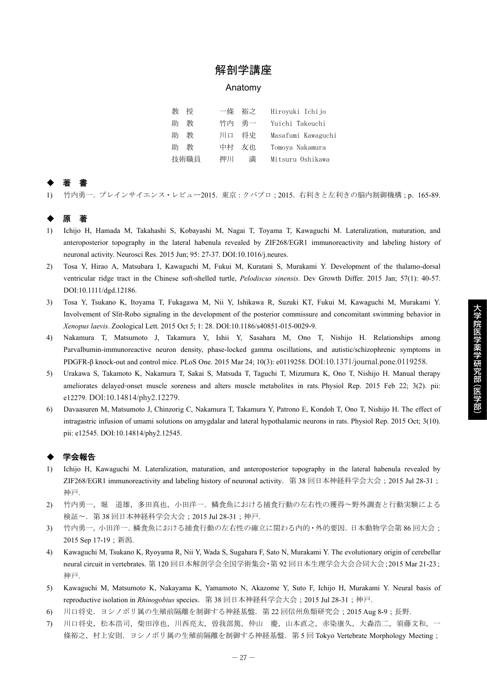## 解剖学講座

#### Anatomy

| 教    | 授 | 一條    | 裕之 | Hiroyuki Ichijo    |
|------|---|-------|----|--------------------|
| 助    | 教 | 竹内 勇一 |    | Yuichi Takeuchi    |
| 助    | 教 | 川口    | 将史 | Masafumi Kawaguchi |
| 助    | 教 | 中村    | 友也 | Tomoya Nakamura    |
| 技術職員 |   | 押川    | 満  | Mitsuru Oshikawa   |

# ◆ 著 書

1) 竹内勇一.ブレインサイエンス・レビュー2015.東京:クバプロ;2015.右利きと左利きの脳内制御機構;p.165-89.

## ◆ 原 著

- 1) Ichijo H, Hamada M, Takahashi S, Kobayashi M, Nagai T, Toyama T, Kawaguchi M. Lateralization, maturation, and anteroposterior topography in the lateral habenula revealed by ZIF268/EGR1 immunoreactivity and labeling history of neuronal activity. Neurosci Res. 2015 Jun; 95: 27-37. DOI:10.1016/j.neures.
- 2) Tosa Y, Hirao A, Matsubara I, Kawaguchi M, Fukui M, Kuratani S, Murakami Y. Development of the thalamo-dorsal ventricular ridge tract in the Chinese soft-shelled turtle, *Pelodiscus sinensis*. Dev Growth Differ. 2015 Jan; 57(1): 40-57. DOI:10.1111/dgd.12186.
- 3) Tosa Y, Tsukano K, Itoyama T, Fukagawa M, Nii Y, Ishikawa R, Suzuki KT, Fukui M, Kawaguchi M, Murakami Y. Involvement of Slit-Robo signaling in the development of the posterior commissure and concomitant swimming behavior in *Xenopus laevis*. Zoological Lett. 2015 Oct 5; 1: 28. DOI:10.1186/s40851-015-0029-9.
- 4) Nakamura T, Matsumoto J, Takamura Y, Ishii Y, Sasahara M, Ono T, Nishijo H. Relationships among Parvalbumin-immunoreactive neuron density, phase-locked gamma oscillations, and autistic/schizophrenic symptoms in PDGFR-β knock-out and control mice. PLoS One. 2015 Mar 24; 10(3): e0119258. DOI:10.1371/journal.pone.0119258.
- 5) Urakawa S, Takamoto K, Nakamura T, Sakai S, Matsuda T, Taguchi T, Mizumura K, Ono T, Nishijo H. Manual therapy ameliorates delayed-onset muscle soreness and alters muscle metabolites in rats. Physiol Rep. 2015 Feb 22; 3(2). pii: e12279. DOI:10.14814/phy2.12279.
- 6) Davaasuren M, Matsumoto J, Chinzorig C, Nakamura T, Takamura Y, Patrono E, Kondoh T, Ono T, Nishijo H. The effect of intragastric infusion of umami solutions on amygdalar and lateral hypothalamic neurons in rats. Physiol Rep. 2015 Oct; 3(10). pii: e12545. DOI:10.14814/phy2.12545.

### ◆ 学会報告

- 1) Ichijo H, Kawaguchi M. Lateralization, maturation, and anteroposterior topography in the lateral habenula revealed by ZIF268/EGR1 immunoreactivity and labeling history of neuronal activity.第 38 回日本神経科学会大会;2015 Jul 28-31; 神戸.
- 2) 竹内勇一,堀 道雄,多田真也,小田洋一. 鱗食魚における捕食行動の左右性の獲得〜野外調査と行動実験による 検証〜.第 38 回日本神経科学会大会;2015 Jul 28-31;神戸.
- 3) 竹内勇一,小田洋一.鱗食魚における捕食行動の左右性の確立に関わる内的・外的要因.日本動物学会第 86 回大会; 2015 Sep 17-19;新潟.
- 4) Kawaguchi M, Tsukano K, Ryoyama R, Nii Y, Wada S, Sugahara F, Sato N, Murakami Y. The evolutionary origin of cerebellar neural circuit in vertebrates.第 120 回日本解剖学会全国学術集会・第 92 回日本生理学会大会合同大会;2015 Mar 21-23; 神戸.
- 5) Kawaguchi M, Matsumoto K, Nakayama K, Yamamoto N, Akazome Y, Suto F, Ichijo H, Murakami Y. Neural basis of reproductive isolation in *Rhinogobius* species.第 38 回日本神経科学会大会;2015 Jul 28-31;神戸.
- 6) 川口将史.ヨシノボリ属の生殖前隔離を制御する神経基盤.第 22 回信州魚類研究会;2015 Aug 8-9;長野.
- 7) 川口将史,松本浩司,柴田淳也,川西亮太,曽我部篤,仲山 慶,山本直之,赤染康久,大森浩二,須藤文和,一 條裕之, 村上安則. ヨシノボリ属の生殖前隔離を制御する神経基盤. 第5回 Tokyo Vertebrate Morphology Meeting;